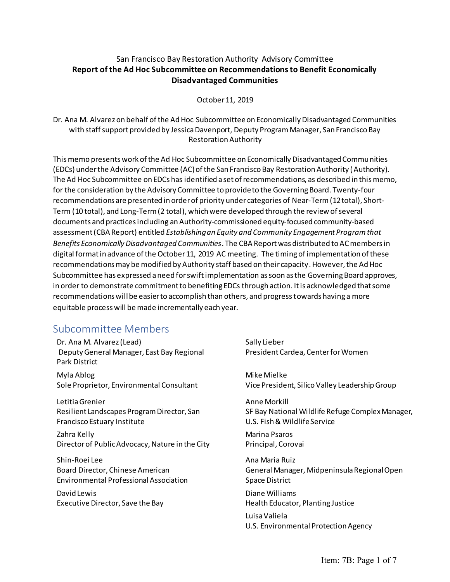## San Francisco Bay Restoration Authority Advisory Committee **Report of the Ad Hoc Subcommittee on Recommendations to Benefit Economically Disadvantaged Communities**

October 11, 2019

Dr. Ana M. Alvarez on behalf of the Ad Hoc Subcommittee on Economically Disadvantaged Communities with staff support provided by Jessica Davenport, Deputy Program Manager, San Francisco Bay Restoration Authority

This memo presents work of the Ad Hoc Subcommittee on Economically Disadvantaged Communities (EDCs) under the Advisory Committee (AC) of the San Francisco Bay Restoration Authority (Authority). The Ad Hoc Subcommittee on EDCs has identified a set of recommendations, as described in this memo, for the consideration by the Advisory Committee to provide to the Governing Board. Twenty-four recommendations are presented in order of priority under categories of Near-Term (12total), Short-Term (10 total), and Long-Term (2 total), which were developed through the review of several documents and practices including anAuthority-commissioned equity-focused community-based assessment (CBA Report) entitled *Establishing an Equity and Community Engagement Program that Benefits Economically Disadvantaged Communities*. The CBA Report was distributed to AC members in digital format in advance of the October 11, 2019 AC meeting. The timing of implementation of these recommendations may be modified by Authority staff based on their capacity. However, the Ad Hoc Subcommittee has expressed a need for swift implementation as soon as the Governing Board approves, in order to demonstrate commitment to benefiting EDCs through action. It is acknowledged that some recommendations will be easier to accomplish than others, and progress towards having a more equitable process will be made incrementally each year.

## Subcommittee Members

Dr. Ana M. Alvarez (Lead) Deputy General Manager, East Bay Regional Park District

Myla Ablog Sole Proprietor, Environmental Consultant

Letitia Grenier Resilient Landscapes Program Director, San Francisco Estuary Institute

Zahra Kelly Director of Public Advocacy, Nature in the City

Shin-Roei Lee Board Director, Chinese American Environmental Professional Association

David Lewis Executive Director, Save the Bay Sally Lieber President Cardea, Center for Women

Mike Mielke Vice President, Silico Valley Leadership Group

Anne Morkill SF Bay National Wildlife Refuge Complex Manager, U.S. Fish & Wildlife Service

Marina Psaros Principal, Corovai

Ana Maria Ruiz General Manager, Midpeninsula Regional Open Space District Diane Williams Health Educator, Planting Justice

Luisa Valiela U.S. Environmental Protection Agency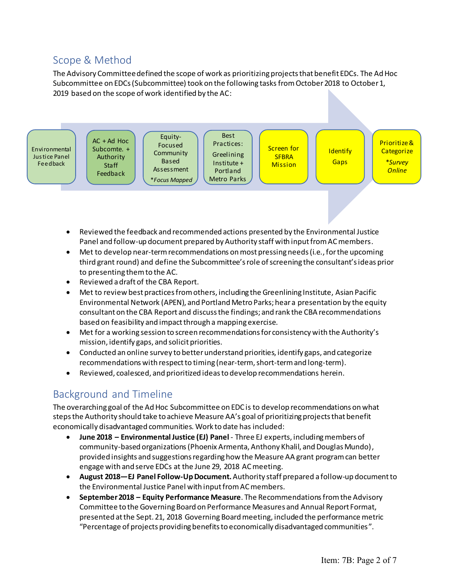## Scope & Method

The Advisory Committee defined the scope of work as prioritizing projects that benefit EDCs. The Ad Hoc Subcommittee on EDCs (Subcommittee) took on the following tasks from October 2018 to October 1, 2019 based on the scope of work identified by the AC:



- Reviewed the feedback and recommended actions presented by the Environmental Justice Panel and follow-up document prepared by Authority staff with input from AC members.
- Met to develop near-term recommendations on most pressing needs (i.e., for the upcoming third grant round) and define the Subcommittee's role of screening the consultant's ideas prior to presenting them to the AC.
- Reviewed a draft of the CBA Report.
- Met to review best practices from others, including the Greenlining Institute, Asian Pacific Environmental Network (APEN), and Portland Metro Parks; hear a presentation by the equity consultant on the CBA Report and discuss the findings; and rank the CBA recommendations based on feasibility and impact through a mapping exercise.
- Met for a working session to screen recommendations for consistency with the Authority's mission, identify gaps, and solicit priorities.
- Conducted an online survey to better understand priorities, identify gaps, and categorize recommendations with respect to timing (near-term, short-term and long-term).
- Reviewed, coalesced, and prioritized ideas to develop recommendations herein.

# Background and Timeline

The overarching goal of the Ad Hoc Subcommittee on EDC is to develop recommendations on what steps the Authority should take to achieve Measure AA's goal of prioritizing projects that benefit economically disadvantaged communities. Work to date has included:

- **June 2018 – Environmental Justice (EJ) Panel** Three EJ experts, including members of community-based organizations(Phoenix Armenta, Anthony Khalil, and Douglas Mundo), provided insights and suggestions regarding how the Measure AA grant program can better engage with and serve EDCs at the June 29, 2018 AC meeting.
- **August 2018—EJ Panel Follow-Up Document.**Authority staff prepared a follow-up document to the Environmental Justice Panel with input from AC members.
- **September 2018 – Equity Performance Measure**. The Recommendationsfrom the Advisory Committee to the Governing Board on Performance Measures and Annual Report Format, presented at the Sept. 21, 2018 Governing Board meeting, included the performance metric "Percentage of projects providing benefits to economically disadvantaged communities".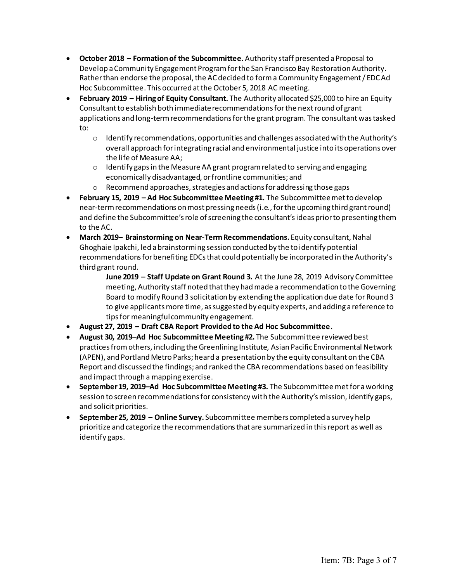- **October 2018 – Formation of the Subcommittee.** Authority staff presented a Proposal to Develop a Community Engagement Program for the San Francisco Bay Restoration Authority. Rather than endorse the proposal, the AC decided to forma Community Engagement / EDC Ad Hoc Subcommittee. This occurred at the October5, 2018 AC meeting.
- **February 2019 – Hiring of Equity Consultant.** The Authority allocated \$25,000 to hire an Equity Consultant to establish both immediate recommendations for the next round of grant applications and long-term recommendations for the grant program. The consultant was tasked to:
	- $\circ$  Identify recommendations, opportunities and challenges associated with the Authority's overall approach for integrating racial and environmental justice into its operations over the life of Measure AA;
	- o Identify gaps in the Measure AA grant program related to serving and engaging economically disadvantaged, or frontline communities; and
	- o Recommend approaches, strategies and actions for addressing those gaps
- **February 15, 2019 – Ad Hoc Subcommittee Meeting #1.** The Subcommitteemetto develop near-term recommendations on most pressing needs (i.e., for the upcoming third grant round) and define the Subcommittee's role of screening the consultant's ideas prior to presenting them to the AC.
- **March 2019– Brainstorming on Near-Term Recommendations.** Equity consultant, Nahal Ghoghaie Ipakchi, led a brainstorming session conducted by the to identify potential recommendations for benefiting EDCsthat could potentially be incorporated in the Authority's third grant round.

**June 2019 – Staff Update on Grant Round 3.** At the June 28, 2019 Advisory Committee meeting, Authority staff noted that they had made a recommendation to the Governing Board to modify Round 3 solicitation by extending the application due date for Round 3 to give applicants more time, as suggested by equity experts, and adding a reference to tips for meaningful community engagement.

- **August 27, 2019 – Draft CBA Report Provided to the Ad Hoc Subcommittee.**
- **August 30, 2019–Ad Hoc Subcommittee Meeting #2.** The Subcommittee reviewed best practices from others, including the Greenlining Institute, Asian Pacific Environmental Network (APEN), and Portland Metro Parks; heard a presentation by the equity consultant on the CBA Report and discussed the findings; and ranked the CBA recommendations based on feasibility and impact through a mapping exercise.
- **September 19, 2019–Ad Hoc Subcommittee Meeting #3.** The Subcommittee met for a working session to screen recommendations for consistency with the Authority's mission, identify gaps, and solicit priorities.
- **September 25, 2019 – Online Survey.** Subcommittee members completed a survey help prioritize and categorize the recommendations that are summarized in this report as well as identify gaps.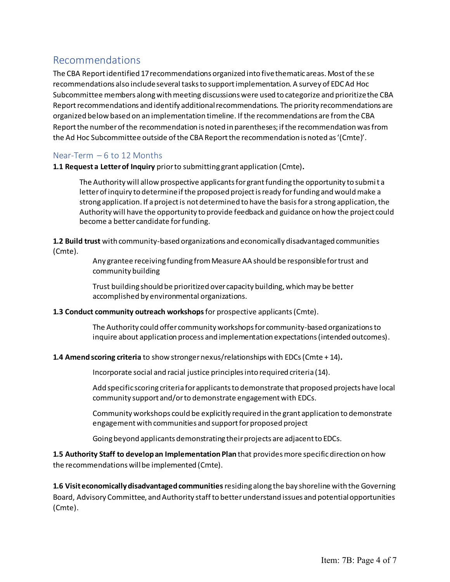## Recommendations

The CBA Report identified 17 recommendations organized into five thematic areas. Most of the se recommendations also include several tasks to support implementation. A survey of EDC Ad Hoc Subcommittee members along with meeting discussions were used to categorize and prioritize the CBA Report recommendations and identify additional recommendations. The priority recommendations are organized below based on an implementation timeline. If the recommendations are from the CBA Report the number of the recommendation is noted in parentheses; if the recommendation was from the Ad Hoc Subcommittee outside of the CBA Report the recommendation is noted as '(Cmte)'.

## Near-Term – 6 to 12 Months

**1.1 Request a Letter of Inquiry** prior to submitting grant application (Cmte)**.** 

The Authority will allow prospective applicants for grant funding the opportunity to submit a letter of inquiry to determine if the proposed project is ready for funding and would make a strong application. If a project is not determined to have the basis for a strong application, the Authority will have the opportunity to provide feedback and guidance on how the project could become a better candidate for funding.

**1.2 Build trust** with community-based organizations and economically disadvantaged communities (Cmte)*.* 

> Any grantee receiving funding from Measure AA should be responsible for trust and community building

Trust building should be prioritized over capacity building, which may be better accomplished by environmental organizations.

#### **1.3 Conduct community outreach workshops** for prospective applicants(Cmte).

The Authority could offer community workshops for community-based organizations to inquire about application process and implementation expectations (intended outcomes).

### **1.4 Amend scoring criteria** to show stronger nexus/relationships with EDCs(Cmte + 14)**.**

Incorporate social and racial justice principles into required criteria (14).

Add specific scoring criteria for applicants to demonstrate that proposed projects have local community support and/or to demonstrate engagement with EDCs.

Community workshops could be explicitly required in the grant application to demonstrate engagement with communities and support for proposed project

Going beyond applicants demonstrating their projects are adjacent to EDCs.

**1.5 Authority Staff to develop an Implementation Plan** that provides more specific direction on how the recommendations will be implemented (Cmte).

**1.6 Visit economically disadvantaged communities**residing along the bay shoreline with the Governing Board, Advisory Committee, and Authority staff to better understand issues and potential opportunities (Cmte).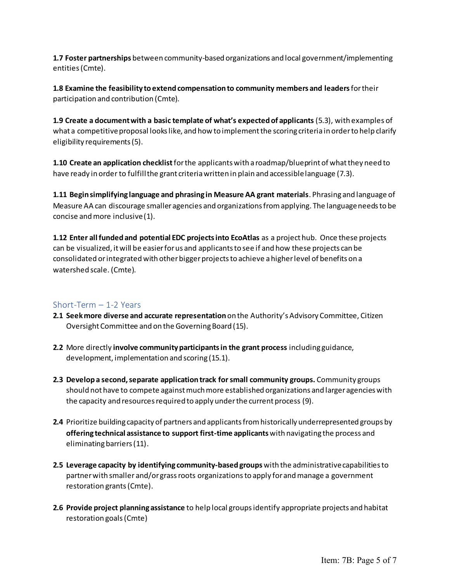**1.7 Foster partnerships** between community-based organizations and local government/implementing entities(Cmte).

**1.8 Examine the feasibility to extend compensation to community members and leaders** for their participation and contribution (Cmte).

**1.9 Create a document with a basic template of what's expected of applicants**(5.3), with examples of what a competitive proposal looks like, and how to implement the scoring criteria in order to help clarify eligibility requirements (5).

**1.10 Create an application checklist**for the applicantswith a roadmap/blueprint of what they need to have ready in order to fulfill the grant criteria written in plain and accessible language (7.3).

**1.11 Begin simplifying language and phrasing in Measure AA grant materials**. Phrasing and language of Measure AA can discourage smaller agencies and organizations from applying. The language needs to be concise and more inclusive (1).

**1.12 Enter all funded and potential EDC projects into EcoAtlas** as a project hub. Once these projects can be visualized, it will be easier for us and applicants to see if and how these projects can be consolidated or integrated with other bigger projects to achieve a higher level of benefits on a watershed scale. (Cmte).

### Short-Term – 1-2 Years

- **2.1 Seek more diverse and accurate representation** on the Authority's Advisory Committee, Citizen Oversight Committee and on the Governing Board (15).
- **2.2** More directly **involve community participants in the grant process** including guidance, development, implementation and scoring (15.1).
- **2.3 Develop a second, separate application track for small community groups.** Community groups should not have to compete against much more established organizations and larger agencies with the capacity and resources required to apply under the current process (9).
- **2.4** Prioritize building capacity of partners and applicants from historically underrepresented groups by **offering technical assistance to support first-time applicants** with navigating the process and eliminating barriers (11).
- **2.5 Leverage capacity by identifying community-based groups** with the administrative capabilities to partner with smaller and/or grass roots organizationsto apply for and manage a government restoration grants (Cmte).
- **2.6 Provide project planning assistance** to help local groups identify appropriate projects and habitat restoration goals (Cmte)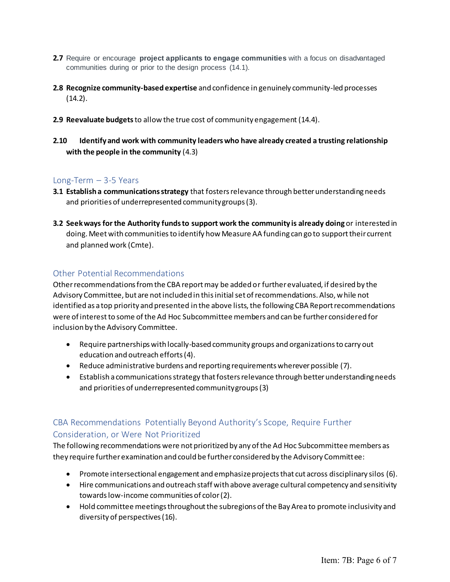- **2.7** Require or encourage **project applicants to engage communities** with a focus on disadvantaged communities during or prior to the design process (14.1).
- **2.8 Recognize community-based expertise** and confidence in genuinely community-led processes  $(14.2)$ .
- **2.9 Reevaluate budgets** to allow the true cost of community engagement (14.4).
- **2.10 Identify and work with community leaders who have already created a trusting relationship with the people in the community** (4.3)

### Long-Term – 3-5 Years

- **3.1 Establish a communications strategy** that fosters relevance through better understanding needs and priorities of underrepresented community groups (3).
- **3.2 Seek ways for the Authority funds to support work the community is already doing** or interested in doing. Meet with communitiesto identify how Measure AA funding can go to support their current and planned work (Cmte).

## Other Potential Recommendations

Other recommendations from the CBA report may be added or further evaluated, if desired by the Advisory Committee, but are not included in this initial set of recommendations. Also, while not identified as a top priority and presented in the above lists, the following CBA Report recommendations were of interestto some of the Ad Hoc Subcommittee members and can be further considered for inclusion by the Advisory Committee.

- Require partnerships with locally-based community groups and organizations to carry out education and outreach efforts (4).
- Reduce administrative burdens and reporting requirements wherever possible (7).
- Establish a communications strategy that fosters relevance through better understanding needs and priorities of underrepresented community groups (3)

## CBA Recommendations Potentially Beyond Authority's Scope, Require Further Consideration, or Were Not Prioritized

The following recommendations were not prioritized by any of the Ad Hoc Subcommittee members as they require further examination and could be further considered by the Advisory Committee:

- Promote intersectional engagement and emphasize projects that cut across disciplinary silos (6).
- Hire communications and outreach staff with above average cultural competency and sensitivity towards low-income communities of color (2).
- Hold committee meetings throughout the subregions of the Bay Area to promote inclusivity and diversity of perspectives (16).